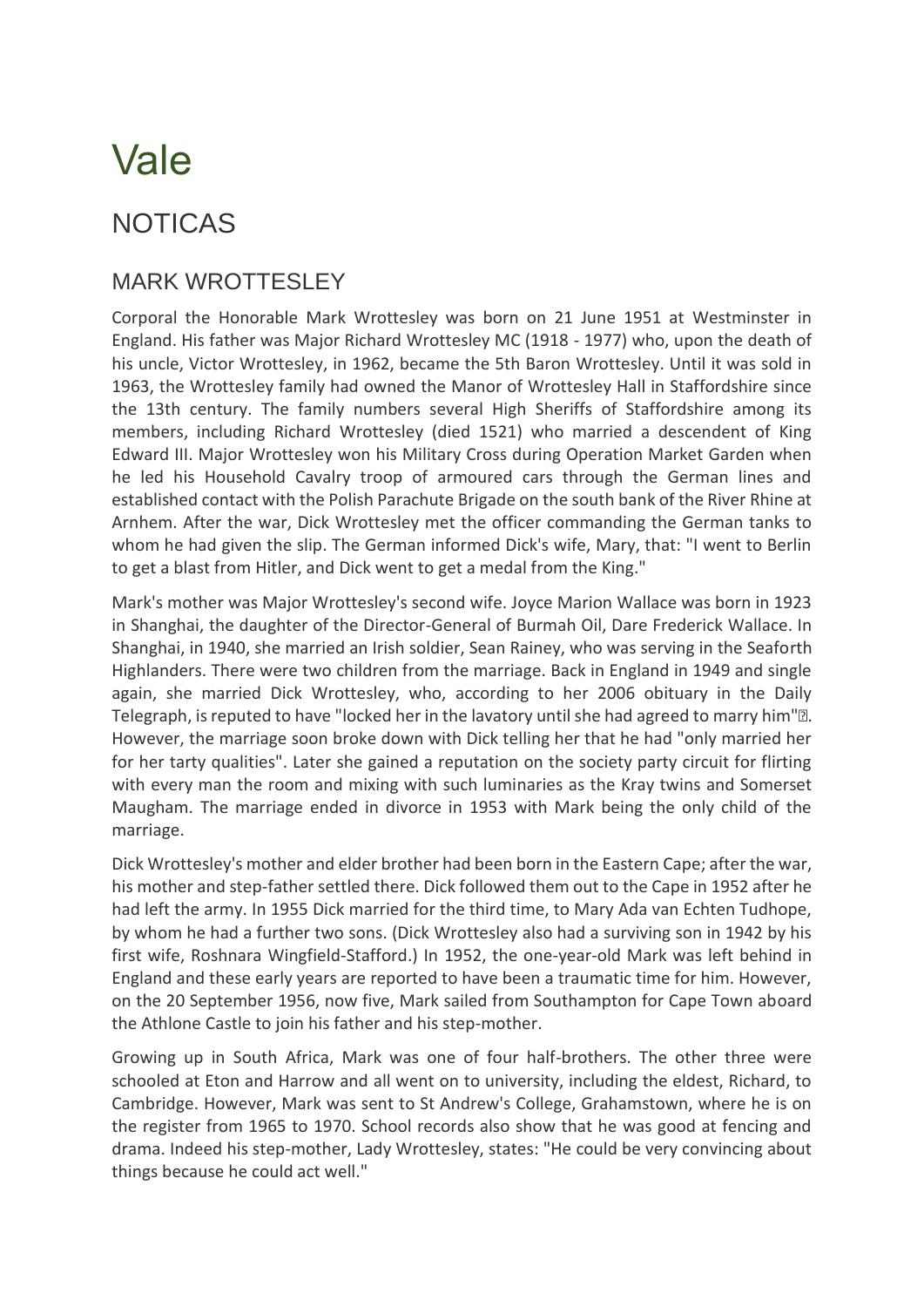## Vale

## NOTICAS

## MARK WROTTESLEY

Corporal the Honorable Mark Wrottesley was born on 21 June 1951 at Westminster in England. His father was Major Richard Wrottesley MC (1918 - 1977) who, upon the death of his uncle, Victor Wrottesley, in 1962, became the 5th Baron Wrottesley. Until it was sold in 1963, the Wrottesley family had owned the Manor of Wrottesley Hall in Staffordshire since the 13th century. The family numbers several High Sheriffs of Staffordshire among its members, including Richard Wrottesley (died 1521) who married a descendent of King Edward III. Major Wrottesley won his Military Cross during Operation Market Garden when he led his Household Cavalry troop of armoured cars through the German lines and established contact with the Polish Parachute Brigade on the south bank of the River Rhine at Arnhem. After the war, Dick Wrottesley met the officer commanding the German tanks to whom he had given the slip. The German informed Dick's wife, Mary, that: "I went to Berlin to get a blast from Hitler, and Dick went to get a medal from the King."

Mark's mother was Major Wrottesley's second wife. Joyce Marion Wallace was born in 1923 in Shanghai, the daughter of the Director-General of Burmah Oil, Dare Frederick Wallace. In Shanghai, in 1940, she married an Irish soldier, Sean Rainey, who was serving in the Seaforth Highlanders. There were two children from the marriage. Back in England in 1949 and single again, she married Dick Wrottesley, who, according to her 2006 obituary in the Daily Telegraph, is reputed to have "locked her in the lavatory until she had agreed to marry him"•. However, the marriage soon broke down with Dick telling her that he had "only married her for her tarty qualities". Later she gained a reputation on the society party circuit for flirting with every man the room and mixing with such luminaries as the Kray twins and Somerset Maugham. The marriage ended in divorce in 1953 with Mark being the only child of the marriage.

Dick Wrottesley's mother and elder brother had been born in the Eastern Cape; after the war, his mother and step-father settled there. Dick followed them out to the Cape in 1952 after he had left the army. In 1955 Dick married for the third time, to Mary Ada van Echten Tudhope, by whom he had a further two sons. (Dick Wrottesley also had a surviving son in 1942 by his first wife, Roshnara Wingfield-Stafford.) In 1952, the one-year-old Mark was left behind in England and these early years are reported to have been a traumatic time for him. However, on the 20 September 1956, now five, Mark sailed from Southampton for Cape Town aboard the Athlone Castle to join his father and his step-mother.

Growing up in South Africa, Mark was one of four half-brothers. The other three were schooled at Eton and Harrow and all went on to university, including the eldest, Richard, to Cambridge. However, Mark was sent to St Andrew's College, Grahamstown, where he is on the register from 1965 to 1970. School records also show that he was good at fencing and drama. Indeed his step-mother, Lady Wrottesley, states: "He could be very convincing about things because he could act well."